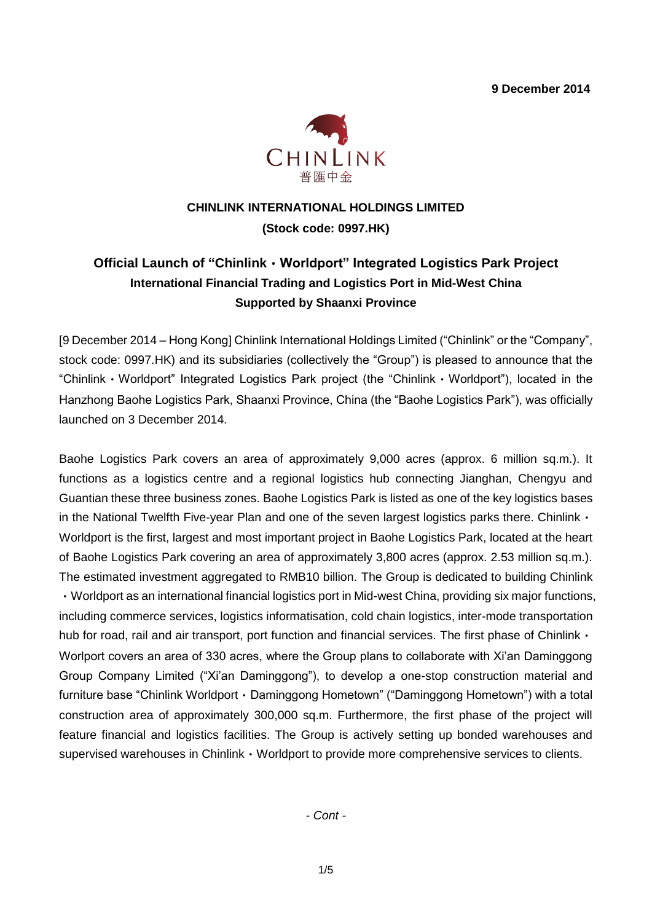

## **CHINLINK INTERNATIONAL HOLDINGS LIMITED (Stock code: 0997.HK)**

# **Official Launch of "Chinlink**・**Worldport" Integrated Logistics Park Project International Financial Trading and Logistics Port in Mid-West China Supported by Shaanxi Province**

[9 December 2014 – Hong Kong] Chinlink International Holdings Limited ("Chinlink" or the "Company", stock code: 0997.HK) and its subsidiaries (collectively the "Group") is pleased to announce that the "Chinlink・Worldport" Integrated Logistics Park project (the "Chinlink・Worldport"), located in the Hanzhong Baohe Logistics Park, Shaanxi Province, China (the "Baohe Logistics Park"), was officially launched on 3 December 2014.

Baohe Logistics Park covers an area of approximately 9,000 acres (approx. 6 million sq.m.). It functions as a logistics centre and a regional logistics hub connecting Jianghan, Chengyu and Guantian these three business zones. Baohe Logistics Park is listed as one of the key logistics bases in the National Twelfth Five-year Plan and one of the seven largest logistics parks there. Chinlink · Worldport is the first, largest and most important project in Baohe Logistics Park, located at the heart of Baohe Logistics Park covering an area of approximately 3,800 acres (approx. 2.53 million sq.m.). The estimated investment aggregated to RMB10 billion. The Group is dedicated to building Chinlink ・Worldport as an international financial logistics port in Mid-west China, providing six major functions, including commerce services, logistics informatisation, cold chain logistics, inter-mode transportation hub for road, rail and air transport, port function and financial services. The first phase of Chinlink · Worlport covers an area of 330 acres, where the Group plans to collaborate with Xi'an Daminggong Group Company Limited ("Xi'an Daminggong"), to develop a one-stop construction material and furniture base "Chinlink Worldport · Daminggong Hometown" ("Daminggong Hometown") with a total construction area of approximately 300,000 sq.m. Furthermore, the first phase of the project will feature financial and logistics facilities. The Group is actively setting up bonded warehouses and supervised warehouses in Chinlink · Worldport to provide more comprehensive services to clients.

*- Cont -*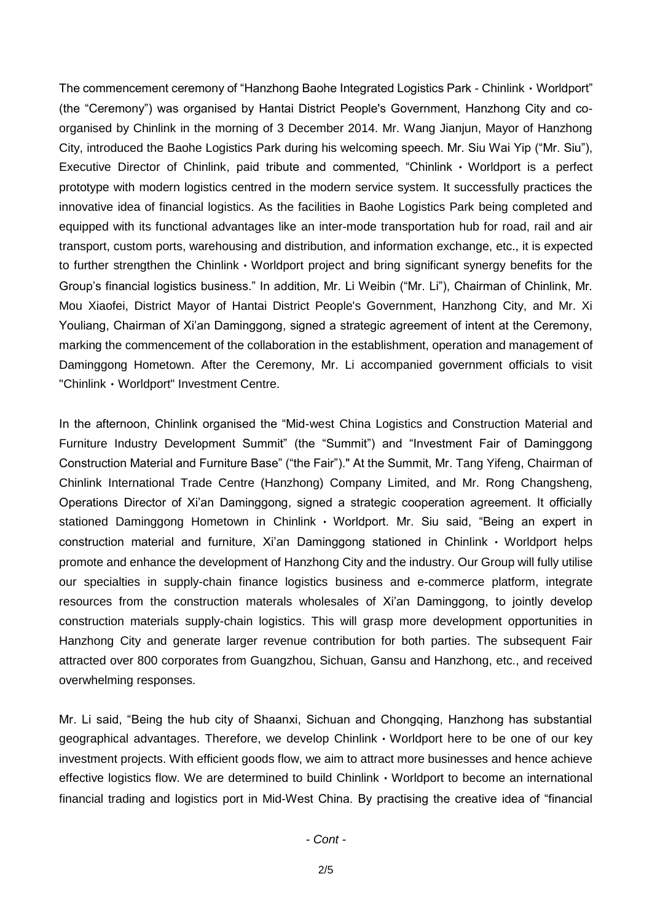The commencement ceremony of "Hanzhong Baohe Integrated Logistics Park - Chinlink · Worldport" (the "Ceremony") was organised by Hantai District People's Government, Hanzhong City and coorganised by Chinlink in the morning of 3 December 2014. Mr. Wang Jianjun, Mayor of Hanzhong City, introduced the Baohe Logistics Park during his welcoming speech. Mr. Siu Wai Yip ("Mr. Siu"), Executive Director of Chinlink, paid tribute and commented, "Chinlink ・Worldport is a perfect prototype with modern logistics centred in the modern service system. It successfully practices the innovative idea of financial logistics. As the facilities in Baohe Logistics Park being completed and equipped with its functional advantages like an inter-mode transportation hub for road, rail and air transport, custom ports, warehousing and distribution, and information exchange, etc., it is expected to further strengthen the Chinlink · Worldport project and bring significant synergy benefits for the Group's financial logistics business." In addition, Mr. Li Weibin ("Mr. Li"), Chairman of Chinlink, Mr. Mou Xiaofei, District Mayor of Hantai District People's Government, Hanzhong City, and Mr. Xi Youliang, Chairman of Xi'an Daminggong, signed a strategic agreement of intent at the Ceremony, marking the commencement of the collaboration in the establishment, operation and management of Daminggong Hometown. After the Ceremony, Mr. Li accompanied government officials to visit "Chinlink・Worldport" Investment Centre.

In the afternoon, Chinlink organised the "Mid-west China Logistics and Construction Material and Furniture Industry Development Summit" (the "Summit") and "Investment Fair of Daminggong Construction Material and Furniture Base" ("the Fair")." At the Summit, Mr. Tang Yifeng, Chairman of Chinlink International Trade Centre (Hanzhong) Company Limited, and Mr. Rong Changsheng, Operations Director of Xi'an Daminggong, signed a strategic cooperation agreement. It officially stationed Daminggong Hometown in Chinlink · Worldport. Mr. Siu said, "Being an expert in construction material and furniture, Xi'an Daminggong stationed in Chinlink ・ Worldport helps promote and enhance the development of Hanzhong City and the industry. Our Group will fully utilise our specialties in supply-chain finance logistics business and e-commerce platform, integrate resources from the construction materals wholesales of Xi'an Daminggong, to jointly develop construction materials supply-chain logistics. This will grasp more development opportunities in Hanzhong City and generate larger revenue contribution for both parties. The subsequent Fair attracted over 800 corporates from Guangzhou, Sichuan, Gansu and Hanzhong, etc., and received overwhelming responses.

Mr. Li said, "Being the hub city of Shaanxi, Sichuan and Chongqing, Hanzhong has substantial geographical advantages. Therefore, we develop Chinlink・Worldport here to be one of our key investment projects. With efficient goods flow, we aim to attract more businesses and hence achieve effective logistics flow. We are determined to build Chinlink・Worldport to become an international financial trading and logistics port in Mid-West China. By practising the creative idea of "financial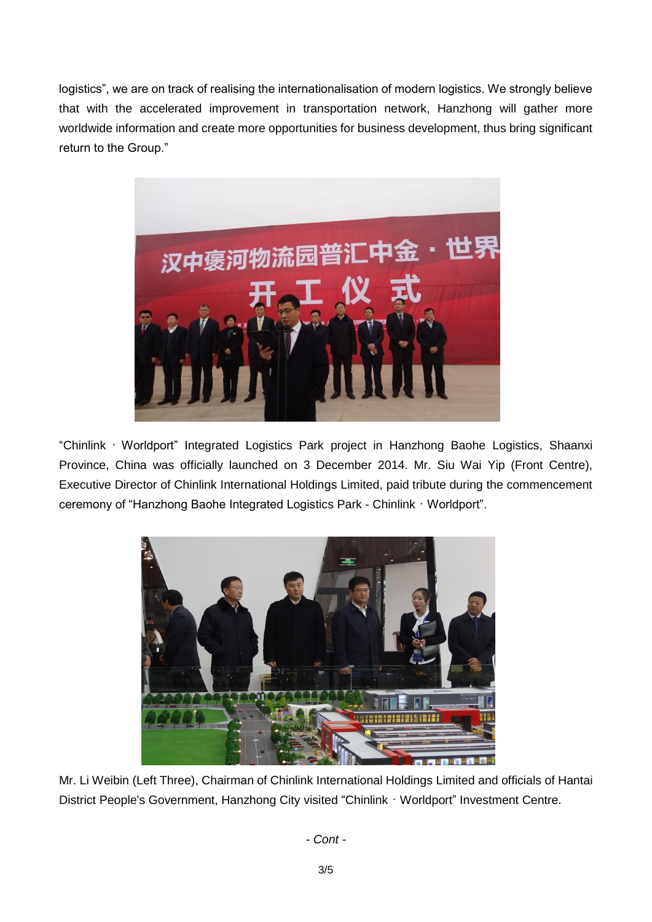logistics", we are on track of realising the internationalisation of modern logistics. We strongly believe that with the accelerated improvement in transportation network, Hanzhong will gather more worldwide information and create more opportunities for business development, thus bring significant return to the Group."



"Chinlink・Worldport" Integrated Logistics Park project in Hanzhong Baohe Logistics, Shaanxi Province, China was officially launched on 3 December 2014. Mr. Siu Wai Yip (Front Centre), Executive Director of Chinlink International Holdings Limited, paid tribute during the commencement ceremony of "Hanzhong Baohe Integrated Logistics Park - Chinlink・Worldport".



Mr. Li Weibin (Left Three), Chairman of Chinlink International Holdings Limited and officials of Hantai District People's Government, Hanzhong City visited "Chinlink・Worldport" Investment Centre.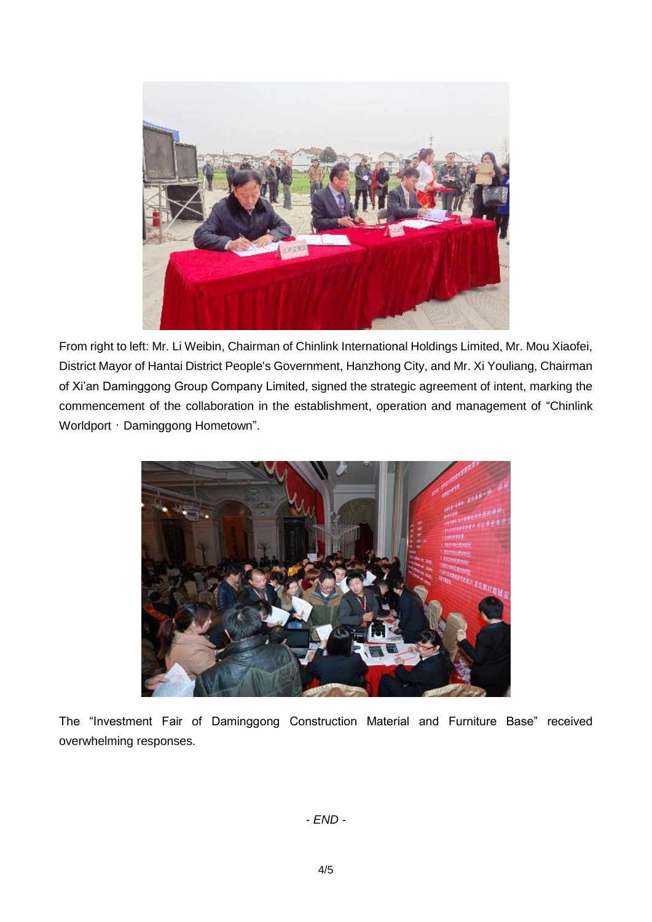

From right to left: Mr. Li Weibin, Chairman of Chinlink International Holdings Limited, Mr. Mou Xiaofei, District Mayor of Hantai District People's Government, Hanzhong City, and Mr. Xi Youliang, Chairman of Xi'an Daminggong Group Company Limited, signed the strategic agreement of intent, marking the commencement of the collaboration in the establishment, operation and management of "Chinlink Worldport · Daminggong Hometown".



The "Investment Fair of Daminggong Construction Material and Furniture Base" received overwhelming responses.